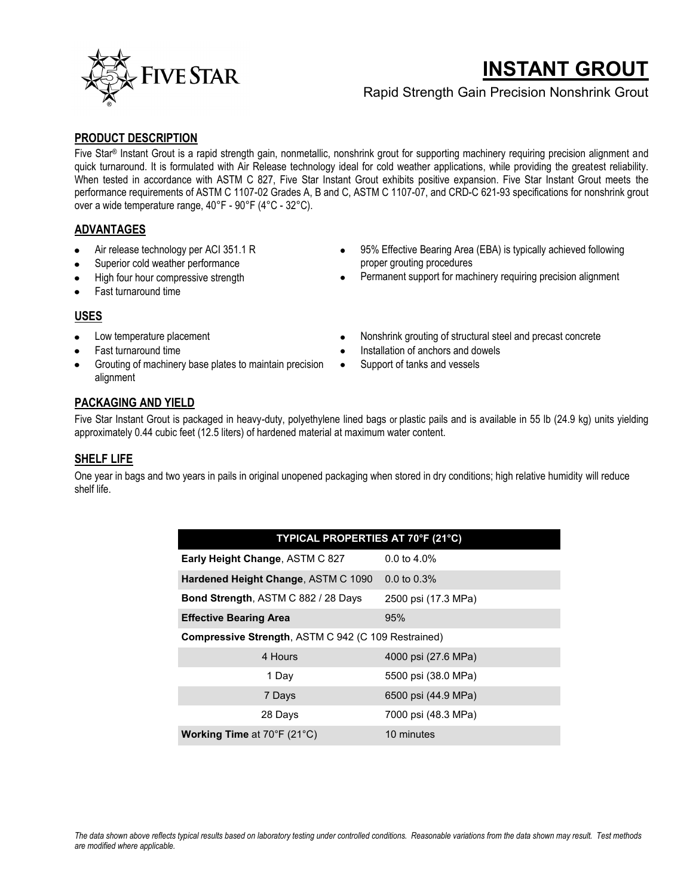

# **INSTANT GROUT**

### Rapid Strength Gain Precision Nonshrink Grout

#### **PRODUCT DESCRIPTION**

Five Star® Instant Grout is a rapid strength gain, nonmetallic, nonshrink grout for supporting machinery requiring precision alignment and quick turnaround. It is formulated with Air Release technology ideal for cold weather applications, while providing the greatest reliability. When tested in accordance with ASTM C 827, Five Star Instant Grout exhibits positive expansion. Five Star Instant Grout meets the performance requirements of ASTM C 1107-02 Grades A, B and C, ASTM C 1107-07, and CRD-C 621-93 specifications for nonshrink grout over a wide temperature range, 40°F - 90°F (4°C - 32°C).

#### **ADVANTAGES**

- Air release technology per ACI 351.1 R
- Superior cold weather performance
- High four hour compressive strength
- Fast turnaround time

## Permanent support for machinery requiring precision alignment

95% Effective Bearing Area (EBA) is typically achieved following

#### **USES**

- Low temperature placement
- Fast turnaround time
- Grouting of machinery base plates to maintain precision alignment
- Nonshrink grouting of structural steel and precast concrete
- Installation of anchors and dowels

proper grouting procedures

Support of tanks and vessels

#### **PACKAGING AND YIELD**

Five Star Instant Grout is packaged in heavy-duty, polyethylene lined bags or plastic pails and is available in 55 lb (24.9 kg) units yielding approximately 0.44 cubic feet (12.5 liters) of hardened material at maximum water content.

#### **SHELF LIFE**

One year in bags and two years in pails in original unopened packaging when stored in dry conditions; high relative humidity will reduce shelf life.

| TYPICAL PROPERTIES AT 70°F (21°C)                          |                         |
|------------------------------------------------------------|-------------------------|
| <b>Early Height Change, ASTM C 827</b>                     | $0.0 \text{ to } 4.0\%$ |
| Hardened Height Change, ASTM C 1090                        | $0.0 \text{ to } 0.3\%$ |
| <b>Bond Strength, ASTM C 882 / 28 Days</b>                 | 2500 psi (17.3 MPa)     |
| <b>Effective Bearing Area</b>                              | 95%                     |
| <b>Compressive Strength, ASTM C 942 (C 109 Restrained)</b> |                         |
| 4 Hours                                                    | 4000 psi (27.6 MPa)     |
| 1 Day                                                      | 5500 psi (38.0 MPa)     |
| 7 Days                                                     | 6500 psi (44.9 MPa)     |
| 28 Days                                                    | 7000 psi (48.3 MPa)     |
| Working Time at 70°F (21°C)                                | 10 minutes              |